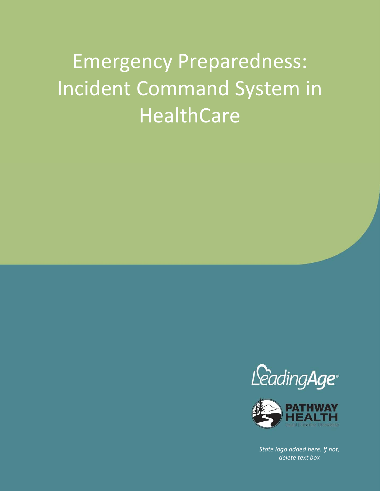# Incident Command System in Emergency Preparedness: HealthCare





*State logo added here. If not, delete text box*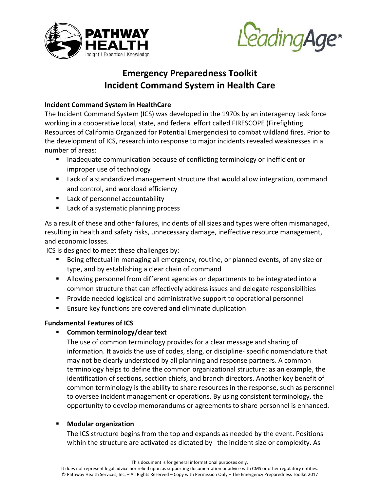



# **Emergency Preparedness Toolkit Incident Command System in Health Care**

# **Incident Command System in HealthCare**

The Incident Command System (ICS) was developed in the 1970s by an interagency task force working in a cooperative local, state, and federal effort called FIRESCOPE (Firefighting Resources of California Organized for Potential Emergencies) to combat wildland fires. Prior to the development of ICS, research into response to major incidents revealed weaknesses in a number of areas:

- **Inadequate communication because of conflicting terminology or inefficient or** improper use of technology
- Lack of a standardized management structure that would allow integration, command and control, and workload efficiency
- **Lack of personnel accountability**
- Lack of a systematic planning process

As a result of these and other failures, incidents of all sizes and types were often mismanaged, resulting in health and safety risks, unnecessary damage, ineffective resource management, and economic losses.

ICS is designed to meet these challenges by:

- Being effectual in managing all emergency, routine, or planned events, of any size or type, and by establishing a clear chain of command
- Allowing personnel from different agencies or departments to be integrated into a common structure that can effectively address issues and delegate responsibilities
- **Provide needed logistical and administrative support to operational personnel**
- **Ensure key functions are covered and eliminate duplication**

# **Fundamental Features of ICS**

**Common terminology/clear text** 

The use of common terminology provides for a clear message and sharing of information. It avoids the use of codes, slang, or discipline‐ specific nomenclature that may not be clearly understood by all planning and response partners. A common terminology helps to define the common organizational structure: as an example, the identification of sections, section chiefs, and branch directors. Another key benefit of common terminology is the ability to share resources in the response, such as personnel to oversee incident management or operations. By using consistent terminology, the opportunity to develop memorandums or agreements to share personnel is enhanced.

# **Modular organization**

The ICS structure begins from the top and expands as needed by the event. Positions within the structure are activated as dictated by the incident size or complexity. As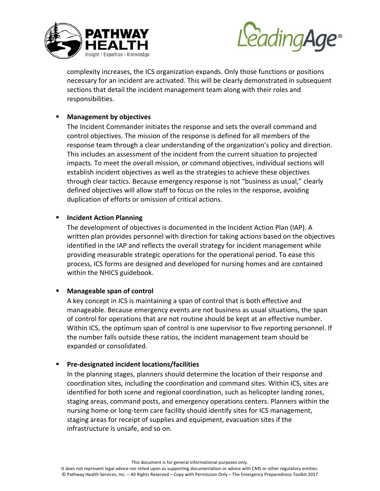



complexity increases, the ICS organization expands. Only those functions or positions necessary for an incident are activated. This will be clearly demonstrated in subsequent sections that detail the incident management team along with their roles and responsibilities.

## **Management by objectives**

The Incident Commander initiates the response and sets the overall command and control objectives. The mission of the response is defined for all members of the response team through a clear understanding of the organization's policy and direction. This includes an assessment of the incident from the current situation to projected impacts. To meet the overall mission, or command objectives, individual sections will establish incident objectives as well as the strategies to achieve these objectives through clear tactics. Because emergency response is not "business as usual," clearly defined objectives will allow staff to focus on the roles in the response, avoiding duplication of efforts or omission of critical actions.

#### **Incident Action Planning**

The development of objectives is documented in the Incident Action Plan (IAP). A written plan provides personnel with direction for taking actions based on the objectives identified in the IAP and reflects the overall strategy for incident management while providing measurable strategic operations for the operational period. To ease this process, ICS forms are designed and developed for nursing homes and are contained within the NHICS guidebook.

#### **Manageable span of control**

A key concept in ICS is maintaining a span of control that is both effective and manageable. Because emergency events are not business as usual situations, the span of control for operations that are not routine should be kept at an effective number. Within ICS, the optimum span of control is one supervisor to five reporting personnel. If the number falls outside these ratios, the incident management team should be expanded or consolidated.

# **Pre‐designated incident locations/facilities**

In the planning stages, planners should determine the location of their response and coordination sites, including the coordination and command sites. Within ICS, sites are identified for both scene and regional coordination, such as helicopter landing zones, staging areas, command posts, and emergency operations centers. Planners within the nursing home or long‐term care facility should identify sites for ICS management, staging areas for receipt of supplies and equipment, evacuation sites if the infrastructure is unsafe, and so on.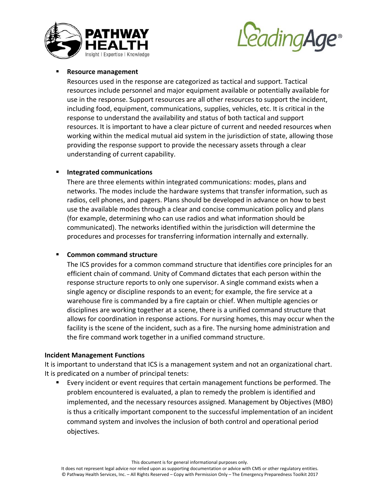



#### **Resource management**

Resources used in the response are categorized as tactical and support. Tactical resources include personnel and major equipment available or potentially available for use in the response. Support resources are all other resources to support the incident, including food, equipment, communications, supplies, vehicles, etc. It is critical in the response to understand the availability and status of both tactical and support resources. It is important to have a clear picture of current and needed resources when working within the medical mutual aid system in the jurisdiction of state, allowing those providing the response support to provide the necessary assets through a clear understanding of current capability.

#### **Integrated communications**

There are three elements within integrated communications: modes, plans and networks. The modes include the hardware systems that transfer information, such as radios, cell phones, and pagers. Plans should be developed in advance on how to best use the available modes through a clear and concise communication policy and plans (for example, determining who can use radios and what information should be communicated). The networks identified within the jurisdiction will determine the procedures and processes for transferring information internally and externally.

#### **Common command structure**

The ICS provides for a common command structure that identifies core principles for an efficient chain of command. Unity of Command dictates that each person within the response structure reports to only one supervisor. A single command exists when a single agency or discipline responds to an event; for example, the fire service at a warehouse fire is commanded by a fire captain or chief. When multiple agencies or disciplines are working together at a scene, there is a unified command structure that allows for coordination in response actions. For nursing homes, this may occur when the facility is the scene of the incident, such as a fire. The nursing home administration and the fire command work together in a unified command structure.

#### **Incident Management Functions**

It is important to understand that ICS is a management system and not an organizational chart. It is predicated on a number of principal tenets:

 Every incident or event requires that certain management functions be performed. The problem encountered is evaluated, a plan to remedy the problem is identified and implemented, and the necessary resources assigned. Management by Objectives (MBO) is thus a critically important component to the successful implementation of an incident command system and involves the inclusion of both control and operational period objectives.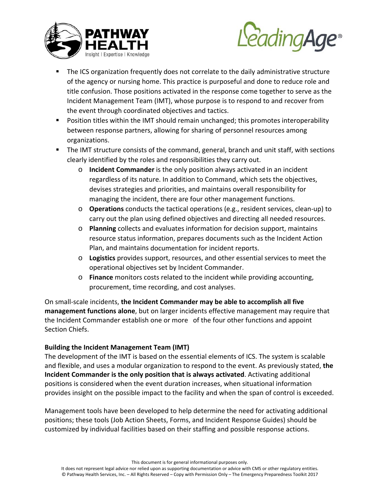



- The ICS organization frequently does not correlate to the daily administrative structure of the agency or nursing home. This practice is purposeful and done to reduce role and title confusion. Those positions activated in the response come together to serve as the Incident Management Team (IMT), whose purpose is to respond to and recover from the event through coordinated objectives and tactics.
- **Position titles within the IMT should remain unchanged; this promotes interoperability** between response partners, allowing for sharing of personnel resources among organizations.
- The IMT structure consists of the command, general, branch and unit staff, with sections clearly identified by the roles and responsibilities they carry out.
	- o **Incident Commander** is the only position always activated in an incident regardless of its nature. In addition to Command, which sets the objectives, devises strategies and priorities, and maintains overall responsibility for managing the incident, there are four other management functions.
	- o **Operations** conducts the tactical operations (e.g., resident services, clean‐up) to carry out the plan using defined objectives and directing all needed resources.
	- o **Planning** collects and evaluates information for decision support, maintains resource status information, prepares documents such as the Incident Action Plan, and maintains documentation for incident reports.
	- o **Logistics** provides support, resources, and other essential services to meet the operational objectives set by Incident Commander.
	- o **Finance** monitors costs related to the incident while providing accounting, procurement, time recording, and cost analyses.

On small‐scale incidents, **the Incident Commander may be able to accomplish all five management functions alone**, but on larger incidents effective management may require that the Incident Commander establish one or more of the four other functions and appoint Section Chiefs.

# **Building the Incident Management Team (IMT)**

The development of the IMT is based on the essential elements of ICS. The system is scalable and flexible, and uses a modular organization to respond to the event. As previously stated, **the Incident Commander is the only position that is always activated**. Activating additional positions is considered when the event duration increases, when situational information provides insight on the possible impact to the facility and when the span of control is exceeded.

Management tools have been developed to help determine the need for activating additional positions; these tools (Job Action Sheets, Forms, and Incident Response Guides) should be customized by individual facilities based on their staffing and possible response actions.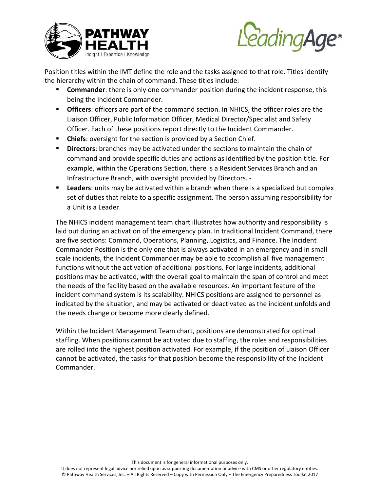



Position titles within the IMT define the role and the tasks assigned to that role. Titles identify the hierarchy within the chain of command. These titles include:

- **Commander**: there is only one commander position during the incident response, this being the Incident Commander.
- **Officers**: officers are part of the command section. In NHICS, the officer roles are the Liaison Officer, Public Information Officer, Medical Director/Specialist and Safety Officer. Each of these positions report directly to the Incident Commander.
- **Chiefs**: oversight for the section is provided by a Section Chief.
- **Directors:** branches may be activated under the sections to maintain the chain of command and provide specific duties and actions as identified by the position title. For example, within the Operations Section, there is a Resident Services Branch and an Infrastructure Branch, with oversight provided by Directors. ‐
- **Leaders**: units may be activated within a branch when there is a specialized but complex set of duties that relate to a specific assignment. The person assuming responsibility for a Unit is a Leader.

The NHICS incident management team chart illustrates how authority and responsibility is laid out during an activation of the emergency plan. In traditional Incident Command, there are five sections: Command, Operations, Planning, Logistics, and Finance. The Incident Commander Position is the only one that is always activated in an emergency and in small scale incidents, the Incident Commander may be able to accomplish all five management functions without the activation of additional positions. For large incidents, additional positions may be activated, with the overall goal to maintain the span of control and meet the needs of the facility based on the available resources. An important feature of the incident command system is its scalability. NHICS positions are assigned to personnel as indicated by the situation, and may be activated or deactivated as the incident unfolds and the needs change or become more clearly defined.

Within the Incident Management Team chart, positions are demonstrated for optimal staffing. When positions cannot be activated due to staffing, the roles and responsibilities are rolled into the highest position activated. For example, if the position of Liaison Officer cannot be activated, the tasks for that position become the responsibility of the Incident Commander.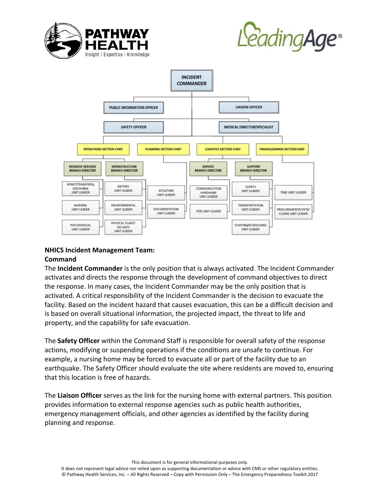





# **NHICS Incident Management Team:**

#### **Command**

The **Incident Commander** is the only position that is always activated. The Incident Commander activates and directs the response through the development of command objectives to direct the response. In many cases, the Incident Commander may be the only position that is activated. A critical responsibility of the Incident Commander is the decision to evacuate the facility. Based on the incident hazard that causes evacuation, this can be a difficult decision and is based on overall situational information, the projected impact, the threat to life and property, and the capability for safe evacuation.

The **Safety Officer** within the Command Staff is responsible for overall safety of the response actions, modifying or suspending operations if the conditions are unsafe to continue. For example, a nursing home may be forced to evacuate all or part of the facility due to an earthquake. The Safety Officer should evaluate the site where residents are moved to, ensuring that this location is free of hazards.

The **Liaison Officer** serves as the link for the nursing home with external partners. This position provides information to external response agencies such as public health authorities, emergency management officials, and other agencies as identified by the facility during planning and response.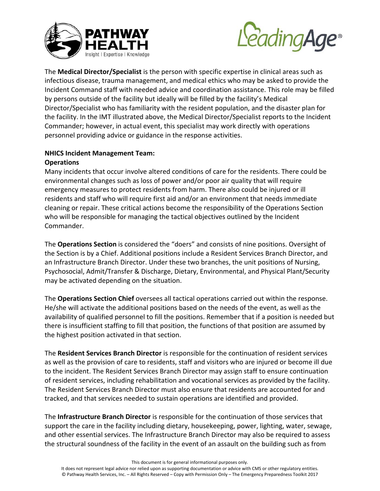



The **Medical Director/Specialist** is the person with specific expertise in clinical areas such as infectious disease, trauma management, and medical ethics who may be asked to provide the Incident Command staff with needed advice and coordination assistance. This role may be filled by persons outside of the facility but ideally will be filled by the facility's Medical Director/Specialist who has familiarity with the resident population, and the disaster plan for the facility. In the IMT illustrated above, the Medical Director/Specialist reports to the Incident Commander; however, in actual event, this specialist may work directly with operations personnel providing advice or guidance in the response activities.

# **NHICS Incident Management Team:**

# **Operations**

Many incidents that occur involve altered conditions of care for the residents. There could be environmental changes such as loss of power and/or poor air quality that will require emergency measures to protect residents from harm. There also could be injured or ill residents and staff who will require first aid and/or an environment that needs immediate cleaning or repair. These critical actions become the responsibility of the Operations Section who will be responsible for managing the tactical objectives outlined by the Incident Commander.

The **Operations Section** is considered the "doers" and consists of nine positions. Oversight of the Section is by a Chief. Additional positions include a Resident Services Branch Director, and an Infrastructure Branch Director. Under these two branches, the unit positions of Nursing, Psychosocial, Admit/Transfer & Discharge, Dietary, Environmental, and Physical Plant/Security may be activated depending on the situation.

The **Operations Section Chief** oversees all tactical operations carried out within the response. He/she will activate the additional positions based on the needs of the event, as well as the availability of qualified personnel to fill the positions. Remember that if a position is needed but there is insufficient staffing to fill that position, the functions of that position are assumed by the highest position activated in that section.

The **Resident Services Branch Director** is responsible for the continuation of resident services as well as the provision of care to residents, staff and visitors who are injured or become ill due to the incident. The Resident Services Branch Director may assign staff to ensure continuation of resident services, including rehabilitation and vocational services as provided by the facility. The Resident Services Branch Director must also ensure that residents are accounted for and tracked, and that services needed to sustain operations are identified and provided.

The **Infrastructure Branch Director** is responsible for the continuation of those services that support the care in the facility including dietary, housekeeping, power, lighting, water, sewage, and other essential services. The Infrastructure Branch Director may also be required to assess the structural soundness of the facility in the event of an assault on the building such as from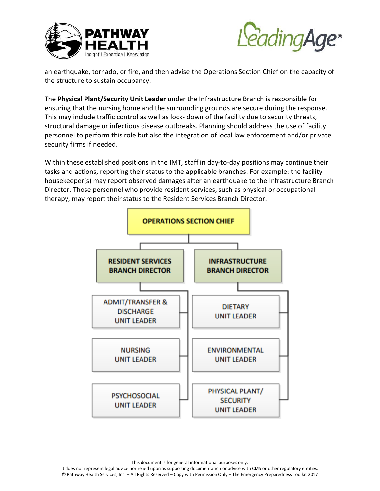



an earthquake, tornado, or fire, and then advise the Operations Section Chief on the capacity of the structure to sustain occupancy.

The **Physical Plant/Security Unit Leader** under the Infrastructure Branch is responsible for ensuring that the nursing home and the surrounding grounds are secure during the response. This may include traffic control as well as lock‐ down of the facility due to security threats, structural damage or infectious disease outbreaks. Planning should address the use of facility personnel to perform this role but also the integration of local law enforcement and/or private security firms if needed.

Within these established positions in the IMT, staff in day-to-day positions may continue their tasks and actions, reporting their status to the applicable branches. For example: the facility housekeeper(s) may report observed damages after an earthquake to the Infrastructure Branch Director. Those personnel who provide resident services, such as physical or occupational therapy, may report their status to the Resident Services Branch Director.

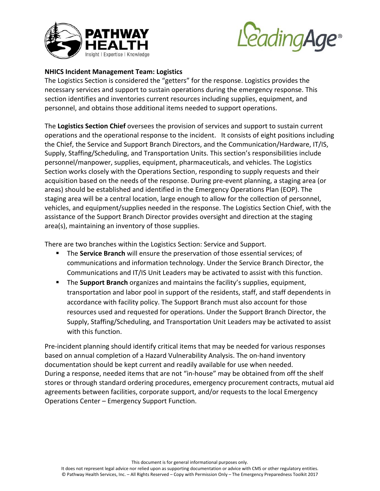



## **NHICS Incident Management Team: Logistics**

The Logistics Section is considered the "getters" for the response. Logistics provides the necessary services and support to sustain operations during the emergency response. This section identifies and inventories current resources including supplies, equipment, and personnel, and obtains those additional items needed to support operations.

The **Logistics Section Chief** oversees the provision of services and support to sustain current operations and the operational response to the incident. It consists of eight positions including the Chief, the Service and Support Branch Directors, and the Communication/Hardware, IT/IS, Supply, Staffing/Scheduling, and Transportation Units. This section's responsibilities include personnel/manpower, supplies, equipment, pharmaceuticals, and vehicles. The Logistics Section works closely with the Operations Section, responding to supply requests and their acquisition based on the needs of the response. During pre‐event planning, a staging area (or areas) should be established and identified in the Emergency Operations Plan (EOP). The staging area will be a central location, large enough to allow for the collection of personnel, vehicles, and equipment/supplies needed in the response. The Logistics Section Chief, with the assistance of the Support Branch Director provides oversight and direction at the staging area(s), maintaining an inventory of those supplies.

There are two branches within the Logistics Section: Service and Support.

- The **Service Branch** will ensure the preservation of those essential services; of communications and information technology. Under the Service Branch Director, the Communications and IT/IS Unit Leaders may be activated to assist with this function.
- The **Support Branch** organizes and maintains the facility's supplies, equipment, transportation and labor pool in support of the residents, staff, and staff dependents in accordance with facility policy. The Support Branch must also account for those resources used and requested for operations. Under the Support Branch Director, the Supply, Staffing/Scheduling, and Transportation Unit Leaders may be activated to assist with this function.

Pre‐incident planning should identify critical items that may be needed for various responses based on annual completion of a Hazard Vulnerability Analysis. The on‐hand inventory documentation should be kept current and readily available for use when needed. During a response, needed items that are not "in-house" may be obtained from off the shelf stores or through standard ordering procedures, emergency procurement contracts, mutual aid agreements between facilities, corporate support, and/or requests to the local Emergency Operations Center – Emergency Support Function.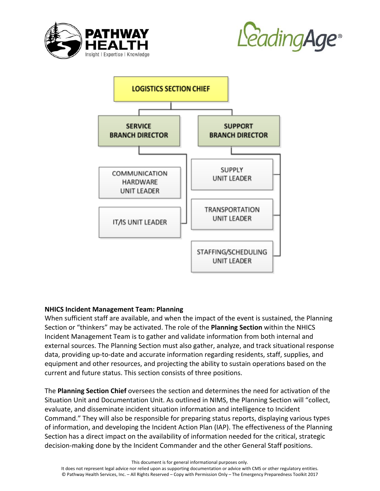





# **NHICS Incident Management Team: Planning**

When sufficient staff are available, and when the impact of the event is sustained, the Planning Section or "thinkers" may be activated. The role of the **Planning Section** within the NHICS Incident Management Team is to gather and validate information from both internal and external sources. The Planning Section must also gather, analyze, and track situational response data, providing up‐to‐date and accurate information regarding residents, staff, supplies, and equipment and other resources, and projecting the ability to sustain operations based on the current and future status. This section consists of three positions.

The **Planning Section Chief** oversees the section and determines the need for activation of the Situation Unit and Documentation Unit. As outlined in NIMS, the Planning Section will "collect, evaluate, and disseminate incident situation information and intelligence to Incident Command." They will also be responsible for preparing status reports, displaying various types of information, and developing the Incident Action Plan (IAP). The effectiveness of the Planning Section has a direct impact on the availability of information needed for the critical, strategic decision‐making done by the Incident Commander and the other General Staff positions.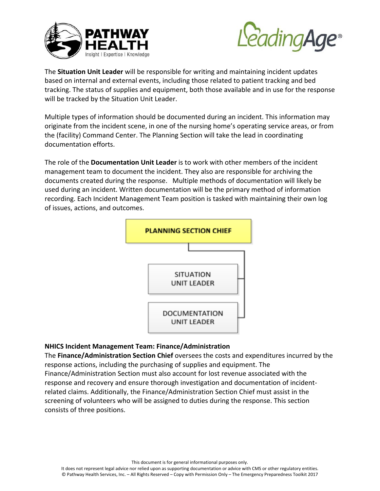



The **Situation Unit Leader** will be responsible for writing and maintaining incident updates based on internal and external events, including those related to patient tracking and bed tracking. The status of supplies and equipment, both those available and in use for the response will be tracked by the Situation Unit Leader.

Multiple types of information should be documented during an incident. This information may originate from the incident scene, in one of the nursing home's operating service areas, or from the (facility) Command Center. The Planning Section will take the lead in coordinating documentation efforts.

The role of the **Documentation Unit Leader** is to work with other members of the incident management team to document the incident. They also are responsible for archiving the documents created during the response. Multiple methods of documentation will likely be used during an incident. Written documentation will be the primary method of information recording. Each Incident Management Team position is tasked with maintaining their own log of issues, actions, and outcomes.



#### **NHICS Incident Management Team: Finance/Administration**

The **Finance/Administration Section Chief** oversees the costs and expenditures incurred by the response actions, including the purchasing of supplies and equipment. The Finance/Administration Section must also account for lost revenue associated with the response and recovery and ensure thorough investigation and documentation of incident‐ related claims. Additionally, the Finance/Administration Section Chief must assist in the screening of volunteers who will be assigned to duties during the response. This section consists of three positions.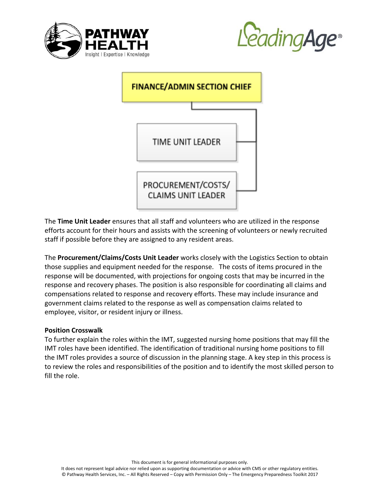



| <b>FINANCE/ADMIN SECTION CHIEF</b> |                                                 |  |
|------------------------------------|-------------------------------------------------|--|
|                                    |                                                 |  |
|                                    | <b>TIME UNIT LEADER</b>                         |  |
|                                    | PROCUREMENT/COSTS/<br><b>CLAIMS UNIT LEADER</b> |  |

The **Time Unit Leader** ensures that all staff and volunteers who are utilized in the response efforts account for their hours and assists with the screening of volunteers or newly recruited staff if possible before they are assigned to any resident areas.

The **Procurement/Claims/Costs Unit Leader** works closely with the Logistics Section to obtain those supplies and equipment needed for the response. The costs of items procured in the response will be documented, with projections for ongoing costs that may be incurred in the response and recovery phases. The position is also responsible for coordinating all claims and compensations related to response and recovery efforts. These may include insurance and government claims related to the response as well as compensation claims related to employee, visitor, or resident injury or illness.

#### **Position Crosswalk**

To further explain the roles within the IMT, suggested nursing home positions that may fill the IMT roles have been identified. The identification of traditional nursing home positions to fill the IMT roles provides a source of discussion in the planning stage. A key step in this process is to review the roles and responsibilities of the position and to identify the most skilled person to fill the role.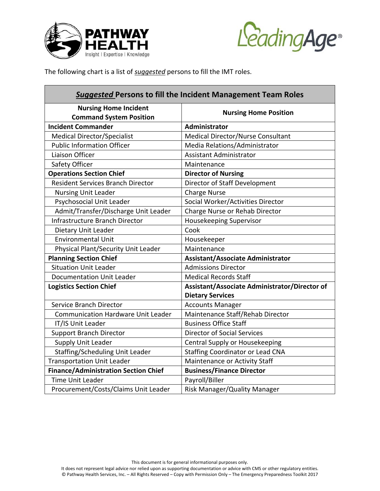



The following chart is a list of *suggested* persons to fill the IMT roles.

| <b>Suggested Persons to fill the Incident Management Team Roles</b> |                                               |  |  |
|---------------------------------------------------------------------|-----------------------------------------------|--|--|
| <b>Nursing Home Incident</b><br><b>Command System Position</b>      | <b>Nursing Home Position</b>                  |  |  |
| <b>Incident Commander</b>                                           | Administrator                                 |  |  |
| <b>Medical Director/Specialist</b>                                  | Medical Director/Nurse Consultant             |  |  |
| <b>Public Information Officer</b>                                   | Media Relations/Administrator                 |  |  |
| Liaison Officer                                                     | <b>Assistant Administrator</b>                |  |  |
| Safety Officer                                                      | Maintenance                                   |  |  |
| <b>Operations Section Chief</b>                                     | <b>Director of Nursing</b>                    |  |  |
| <b>Resident Services Branch Director</b>                            | Director of Staff Development                 |  |  |
| <b>Nursing Unit Leader</b>                                          | <b>Charge Nurse</b>                           |  |  |
| Psychosocial Unit Leader                                            | Social Worker/Activities Director             |  |  |
| Admit/Transfer/Discharge Unit Leader                                | Charge Nurse or Rehab Director                |  |  |
| Infrastructure Branch Director                                      | Housekeeping Supervisor                       |  |  |
| Dietary Unit Leader                                                 | Cook                                          |  |  |
| <b>Environmental Unit</b>                                           | Housekeeper                                   |  |  |
| Physical Plant/Security Unit Leader                                 | Maintenance                                   |  |  |
| <b>Planning Section Chief</b>                                       | <b>Assistant/Associate Administrator</b>      |  |  |
| <b>Situation Unit Leader</b>                                        | <b>Admissions Director</b>                    |  |  |
| <b>Documentation Unit Leader</b>                                    | <b>Medical Records Staff</b>                  |  |  |
| <b>Logistics Section Chief</b>                                      | Assistant/Associate Administrator/Director of |  |  |
|                                                                     | <b>Dietary Services</b>                       |  |  |
| Service Branch Director                                             | <b>Accounts Manager</b>                       |  |  |
| <b>Communication Hardware Unit Leader</b>                           | Maintenance Staff/Rehab Director              |  |  |
| IT/IS Unit Leader                                                   | <b>Business Office Staff</b>                  |  |  |
| <b>Support Branch Director</b>                                      | <b>Director of Social Services</b>            |  |  |
| Supply Unit Leader                                                  | Central Supply or Housekeeping                |  |  |
| Staffing/Scheduling Unit Leader                                     | <b>Staffing Coordinator or Lead CNA</b>       |  |  |
| <b>Transportation Unit Leader</b>                                   | Maintenance or Activity Staff                 |  |  |
| <b>Finance/Administration Section Chief</b>                         | <b>Business/Finance Director</b>              |  |  |
| <b>Time Unit Leader</b>                                             | Payroll/Biller                                |  |  |
| Procurement/Costs/Claims Unit Leader                                | Risk Manager/Quality Manager                  |  |  |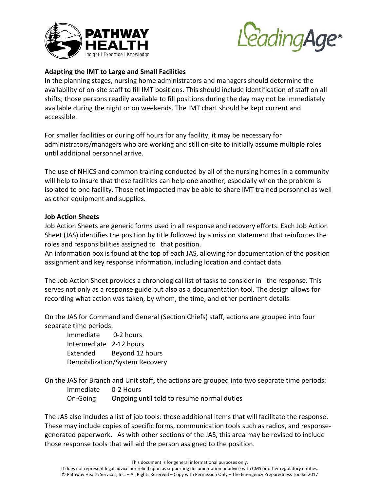



## **Adapting the IMT to Large and Small Facilities**

In the planning stages, nursing home administrators and managers should determine the availability of on‐site staff to fill IMT positions. This should include identification of staff on all shifts; those persons readily available to fill positions during the day may not be immediately available during the night or on weekends. The IMT chart should be kept current and accessible.

For smaller facilities or during off hours for any facility, it may be necessary for administrators/managers who are working and still on‐site to initially assume multiple roles until additional personnel arrive.

The use of NHICS and common training conducted by all of the nursing homes in a community will help to insure that these facilities can help one another, especially when the problem is isolated to one facility. Those not impacted may be able to share IMT trained personnel as well as other equipment and supplies.

#### **Job Action Sheets**

Job Action Sheets are generic forms used in all response and recovery efforts. Each Job Action Sheet (JAS) identifies the position by title followed by a mission statement that reinforces the roles and responsibilities assigned to that position.

An information box is found at the top of each JAS, allowing for documentation of the position assignment and key response information, including location and contact data.

The Job Action Sheet provides a chronological list of tasks to consider in the response. This serves not only as a response guide but also as a documentation tool. The design allows for recording what action was taken, by whom, the time, and other pertinent details

On the JAS for Command and General (Section Chiefs) staff, actions are grouped into four separate time periods:

Immediate 0‐2 hours Intermediate 2‐12 hours Extended Beyond 12 hours Demobilization/System Recovery

On the JAS for Branch and Unit staff, the actions are grouped into two separate time periods: Immediate 0‐2 Hours On‐Going Ongoing until told to resume normal duties

The JAS also includes a list of job tools: those additional items that will facilitate the response. These may include copies of specific forms, communication tools such as radios, and response‐ generated paperwork. As with other sections of the JAS, this area may be revised to include those response tools that will aid the person assigned to the position.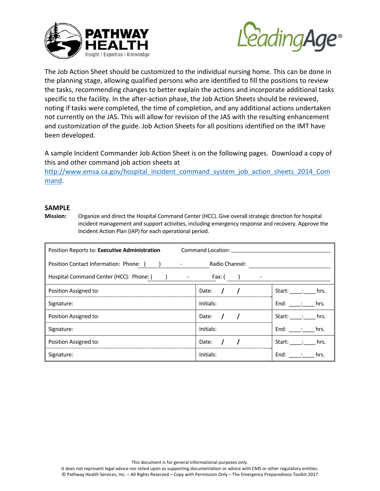



The Job Action Sheet should be customized to the individual nursing home. This can be done in the planning stage, allowing qualified persons who are identified to fill the positions to review the tasks, recommending changes to better explain the actions and incorporate additional tasks specific to the facility. In the after-action phase, the Job Action Sheets should be reviewed, noting if tasks were completed, the time of completion, and any additional actions undertaken not currently on the JAS. This will allow for revision of the JAS with the resulting enhancement and customization of the guide. Job Action Sheets for all positions identified on the IMT have been developed.

A sample Incident Commander Job Action Sheet is on the following pages. Download a copy of this and other command job action sheets at

http://www.emsa.ca.gov/hospital\_incident\_command\_system\_job\_action\_sheets\_2014\_Com mand.

#### **SAMPLE**

**Mission:** Organize and direct the Hospital Command Center (HCC). Give overall strategic direction for hospital incident management and support activities, including emergency response and recovery. Approve the Incident Action Plan (IAP) for each operational period.

| Position Reports to: Executive Administration | Command Location: |                  |
|-----------------------------------------------|-------------------|------------------|
| Position Contact Information: Phone: ()       | Radio Channel:    |                  |
| Hospital Command Center (HCC): Phone: () -    | Fax: (            |                  |
| Position Assigned to:                         | Date:             | Start: :<br>hrs. |
| Signature:                                    | Initials:         | End: :<br>hrs.   |
| Position Assigned to:                         | Date:             | Start: :<br>hrs. |
| Signature:                                    | Initials:         | End: :<br>hrs.   |
| Position Assigned to:                         | Date:             | Start: :<br>hrs. |
| Signature:                                    | Initials:         | End: :<br>hrs.   |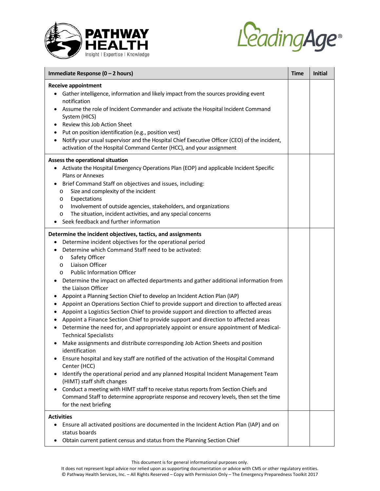



| Immediate Response (0 - 2 hours)                                                                                                                                                                                                                                                                                                                                                                                                                                                                                                                                                                                                                                                                                                                                                                                                                                                                                                                                                                                                                                                                                                                                                                                                                                                                                                                                                                                                                                                                     | <b>Time</b> | <b>Initial</b> |
|------------------------------------------------------------------------------------------------------------------------------------------------------------------------------------------------------------------------------------------------------------------------------------------------------------------------------------------------------------------------------------------------------------------------------------------------------------------------------------------------------------------------------------------------------------------------------------------------------------------------------------------------------------------------------------------------------------------------------------------------------------------------------------------------------------------------------------------------------------------------------------------------------------------------------------------------------------------------------------------------------------------------------------------------------------------------------------------------------------------------------------------------------------------------------------------------------------------------------------------------------------------------------------------------------------------------------------------------------------------------------------------------------------------------------------------------------------------------------------------------------|-------------|----------------|
| <b>Receive appointment</b><br>Gather intelligence, information and likely impact from the sources providing event<br>notification<br>Assume the role of Incident Commander and activate the Hospital Incident Command<br>System (HICS)<br>Review this Job Action Sheet<br>$\bullet$<br>Put on position identification (e.g., position vest)<br>Notify your usual supervisor and the Hospital Chief Executive Officer (CEO) of the incident,<br>$\bullet$<br>activation of the Hospital Command Center (HCC), and your assignment                                                                                                                                                                                                                                                                                                                                                                                                                                                                                                                                                                                                                                                                                                                                                                                                                                                                                                                                                                     |             |                |
| Assess the operational situation<br>Activate the Hospital Emergency Operations Plan (EOP) and applicable Incident Specific<br>Plans or Annexes<br>Brief Command Staff on objectives and issues, including:<br>Size and complexity of the incident<br>O<br>Expectations<br>O<br>Involvement of outside agencies, stakeholders, and organizations<br>$\circ$<br>The situation, incident activities, and any special concerns<br>O<br>Seek feedback and further information<br>$\bullet$                                                                                                                                                                                                                                                                                                                                                                                                                                                                                                                                                                                                                                                                                                                                                                                                                                                                                                                                                                                                                |             |                |
| Determine the incident objectives, tactics, and assignments<br>Determine incident objectives for the operational period<br>Determine which Command Staff need to be activated:<br>$\bullet$<br>Safety Officer<br>O<br>Liaison Officer<br>$\circ$<br><b>Public Information Officer</b><br>$\circ$<br>Determine the impact on affected departments and gather additional information from<br>٠<br>the Liaison Officer<br>Appoint a Planning Section Chief to develop an Incident Action Plan (IAP)<br>٠<br>Appoint an Operations Section Chief to provide support and direction to affected areas<br>$\bullet$<br>Appoint a Logistics Section Chief to provide support and direction to affected areas<br>$\bullet$<br>Appoint a Finance Section Chief to provide support and direction to affected areas<br>$\bullet$<br>Determine the need for, and appropriately appoint or ensure appointment of Medical-<br>$\bullet$<br><b>Technical Specialists</b><br>Make assignments and distribute corresponding Job Action Sheets and position<br>٠<br>identification<br>Ensure hospital and key staff are notified of the activation of the Hospital Command<br>Center (HCC)<br>Identify the operational period and any planned Hospital Incident Management Team<br>(HIMT) staff shift changes<br>Conduct a meeting with HIMT staff to receive status reports from Section Chiefs and<br>Command Staff to determine appropriate response and recovery levels, then set the time<br>for the next briefing |             |                |
| <b>Activities</b><br>Ensure all activated positions are documented in the Incident Action Plan (IAP) and on<br>status boards<br>Obtain current patient census and status from the Planning Section Chief                                                                                                                                                                                                                                                                                                                                                                                                                                                                                                                                                                                                                                                                                                                                                                                                                                                                                                                                                                                                                                                                                                                                                                                                                                                                                             |             |                |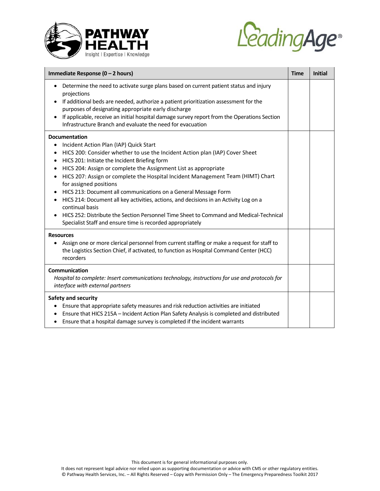



| Immediate Response (0 - 2 hours)                                                                                                                                                                                                                                                                                                                                                                                                                                                                                                                                                                                                                                                                                                                                          |  | <b>Initial</b> |
|---------------------------------------------------------------------------------------------------------------------------------------------------------------------------------------------------------------------------------------------------------------------------------------------------------------------------------------------------------------------------------------------------------------------------------------------------------------------------------------------------------------------------------------------------------------------------------------------------------------------------------------------------------------------------------------------------------------------------------------------------------------------------|--|----------------|
| Determine the need to activate surge plans based on current patient status and injury<br>projections<br>If additional beds are needed, authorize a patient prioritization assessment for the<br>purposes of designating appropriate early discharge<br>If applicable, receive an initial hospital damage survey report from the Operations Section<br>$\bullet$<br>Infrastructure Branch and evaluate the need for evacuation                                                                                                                                                                                                                                                                                                                                             |  |                |
| <b>Documentation</b><br>Incident Action Plan (IAP) Quick Start<br>٠<br>HICS 200: Consider whether to use the Incident Action plan (IAP) Cover Sheet<br>٠<br>HICS 201: Initiate the Incident Briefing form<br>$\bullet$<br>HICS 204: Assign or complete the Assignment List as appropriate<br>٠<br>HICS 207: Assign or complete the Hospital Incident Management Team (HIMT) Chart<br>٠<br>for assigned positions<br>HICS 213: Document all communications on a General Message Form<br>HICS 214: Document all key activities, actions, and decisions in an Activity Log on a<br>٠<br>continual basis<br>HICS 252: Distribute the Section Personnel Time Sheet to Command and Medical-Technical<br>$\bullet$<br>Specialist Staff and ensure time is recorded appropriately |  |                |
| <b>Resources</b><br>Assign one or more clerical personnel from current staffing or make a request for staff to<br>$\bullet$<br>the Logistics Section Chief, if activated, to function as Hospital Command Center (HCC)<br>recorders                                                                                                                                                                                                                                                                                                                                                                                                                                                                                                                                       |  |                |
| Communication<br>Hospital to complete: Insert communications technology, instructions for use and protocols for<br>interface with external partners                                                                                                                                                                                                                                                                                                                                                                                                                                                                                                                                                                                                                       |  |                |
| Safety and security<br>Ensure that appropriate safety measures and risk reduction activities are initiated<br>Ensure that HICS 215A - Incident Action Plan Safety Analysis is completed and distributed<br>Ensure that a hospital damage survey is completed if the incident warrants<br>$\bullet$                                                                                                                                                                                                                                                                                                                                                                                                                                                                        |  |                |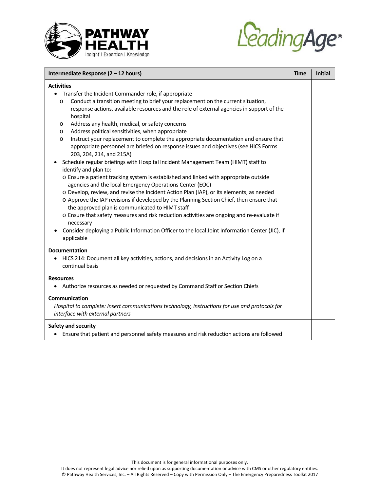



| Intermediate Response (2 - 12 hours)                                                                                                                                                                                                                                                                                                                                                                                                                                                                                                                                                                                                                                                                                                                                                                                                                                                                                                                                                                                                                                                                                                                                                                                                                                                                                                                                     |  | <b>Initial</b> |
|--------------------------------------------------------------------------------------------------------------------------------------------------------------------------------------------------------------------------------------------------------------------------------------------------------------------------------------------------------------------------------------------------------------------------------------------------------------------------------------------------------------------------------------------------------------------------------------------------------------------------------------------------------------------------------------------------------------------------------------------------------------------------------------------------------------------------------------------------------------------------------------------------------------------------------------------------------------------------------------------------------------------------------------------------------------------------------------------------------------------------------------------------------------------------------------------------------------------------------------------------------------------------------------------------------------------------------------------------------------------------|--|----------------|
| <b>Activities</b><br>Transfer the Incident Commander role, if appropriate<br>Conduct a transition meeting to brief your replacement on the current situation,<br>O<br>response actions, available resources and the role of external agencies in support of the<br>hospital<br>Address any health, medical, or safety concerns<br>$\circ$<br>Address political sensitivities, when appropriate<br>$\circ$<br>Instruct your replacement to complete the appropriate documentation and ensure that<br>$\circ$<br>appropriate personnel are briefed on response issues and objectives (see HICS Forms<br>203, 204, 214, and 215A)<br>Schedule regular briefings with Hospital Incident Management Team (HIMT) staff to<br>identify and plan to:<br>o Ensure a patient tracking system is established and linked with appropriate outside<br>agencies and the local Emergency Operations Center (EOC)<br>o Develop, review, and revise the Incident Action Plan (IAP), or its elements, as needed<br>o Approve the IAP revisions if developed by the Planning Section Chief, then ensure that<br>the approved plan is communicated to HIMT staff<br>o Ensure that safety measures and risk reduction activities are ongoing and re-evaluate if<br>necessary<br>Consider deploying a Public Information Officer to the local Joint Information Center (JIC), if<br>applicable |  |                |
| <b>Documentation</b><br>HICS 214: Document all key activities, actions, and decisions in an Activity Log on a<br>continual basis                                                                                                                                                                                                                                                                                                                                                                                                                                                                                                                                                                                                                                                                                                                                                                                                                                                                                                                                                                                                                                                                                                                                                                                                                                         |  |                |
| <b>Resources</b><br>Authorize resources as needed or requested by Command Staff or Section Chiefs                                                                                                                                                                                                                                                                                                                                                                                                                                                                                                                                                                                                                                                                                                                                                                                                                                                                                                                                                                                                                                                                                                                                                                                                                                                                        |  |                |
| Communication<br>Hospital to complete: Insert communications technology, instructions for use and protocols for<br>interface with external partners                                                                                                                                                                                                                                                                                                                                                                                                                                                                                                                                                                                                                                                                                                                                                                                                                                                                                                                                                                                                                                                                                                                                                                                                                      |  |                |
| Safety and security<br>• Ensure that patient and personnel safety measures and risk reduction actions are followed                                                                                                                                                                                                                                                                                                                                                                                                                                                                                                                                                                                                                                                                                                                                                                                                                                                                                                                                                                                                                                                                                                                                                                                                                                                       |  |                |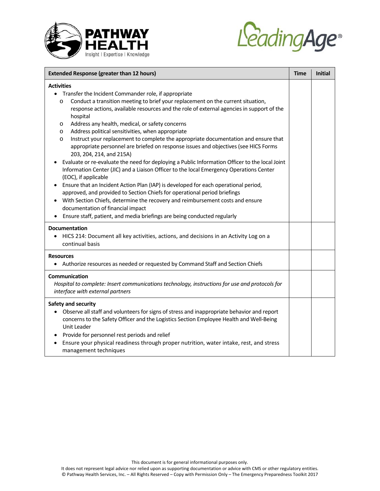



| <b>Extended Response (greater than 12 hours)</b>                                                                                                                                                                                                                                                                                                                                                                                                                                                                                                                                                                                                                                                                                                                                                                                                                                                                                                                                                                                                                                                                                                                                                                                              |  | <b>Initial</b> |
|-----------------------------------------------------------------------------------------------------------------------------------------------------------------------------------------------------------------------------------------------------------------------------------------------------------------------------------------------------------------------------------------------------------------------------------------------------------------------------------------------------------------------------------------------------------------------------------------------------------------------------------------------------------------------------------------------------------------------------------------------------------------------------------------------------------------------------------------------------------------------------------------------------------------------------------------------------------------------------------------------------------------------------------------------------------------------------------------------------------------------------------------------------------------------------------------------------------------------------------------------|--|----------------|
| <b>Activities</b><br>Transfer the Incident Commander role, if appropriate<br>Conduct a transition meeting to brief your replacement on the current situation,<br>$\circ$<br>response actions, available resources and the role of external agencies in support of the<br>hospital<br>Address any health, medical, or safety concerns<br>$\circ$<br>Address political sensitivities, when appropriate<br>$\circ$<br>Instruct your replacement to complete the appropriate documentation and ensure that<br>$\circ$<br>appropriate personnel are briefed on response issues and objectives (see HICS Forms<br>203, 204, 214, and 215A)<br>Evaluate or re-evaluate the need for deploying a Public Information Officer to the local Joint<br>Information Center (JIC) and a Liaison Officer to the local Emergency Operations Center<br>(EOC), if applicable<br>Ensure that an Incident Action Plan (IAP) is developed for each operational period,<br>approved, and provided to Section Chiefs for operational period briefings<br>With Section Chiefs, determine the recovery and reimbursement costs and ensure<br>documentation of financial impact<br>Ensure staff, patient, and media briefings are being conducted regularly<br>$\bullet$ |  |                |
| <b>Documentation</b><br>HICS 214: Document all key activities, actions, and decisions in an Activity Log on a<br>$\bullet$<br>continual basis                                                                                                                                                                                                                                                                                                                                                                                                                                                                                                                                                                                                                                                                                                                                                                                                                                                                                                                                                                                                                                                                                                 |  |                |
| <b>Resources</b><br>Authorize resources as needed or requested by Command Staff and Section Chiefs                                                                                                                                                                                                                                                                                                                                                                                                                                                                                                                                                                                                                                                                                                                                                                                                                                                                                                                                                                                                                                                                                                                                            |  |                |
| Communication<br>Hospital to complete: Insert communications technology, instructions for use and protocols for<br>interface with external partners                                                                                                                                                                                                                                                                                                                                                                                                                                                                                                                                                                                                                                                                                                                                                                                                                                                                                                                                                                                                                                                                                           |  |                |
| Safety and security<br>Observe all staff and volunteers for signs of stress and inappropriate behavior and report<br>concerns to the Safety Officer and the Logistics Section Employee Health and Well-Being<br><b>Unit Leader</b><br>Provide for personnel rest periods and relief<br>Ensure your physical readiness through proper nutrition, water intake, rest, and stress<br>management techniques                                                                                                                                                                                                                                                                                                                                                                                                                                                                                                                                                                                                                                                                                                                                                                                                                                       |  |                |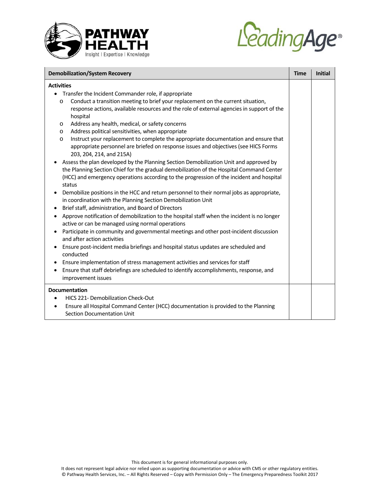



| <b>Demobilization/System Recovery</b>                                                                                                                                                                                                                                                                                                                                                                                                                                                                                                                                                                                                                                                                                                                                                                                                                                                                                                                                                                                                                                                    |             | <b>Initial</b> |
|------------------------------------------------------------------------------------------------------------------------------------------------------------------------------------------------------------------------------------------------------------------------------------------------------------------------------------------------------------------------------------------------------------------------------------------------------------------------------------------------------------------------------------------------------------------------------------------------------------------------------------------------------------------------------------------------------------------------------------------------------------------------------------------------------------------------------------------------------------------------------------------------------------------------------------------------------------------------------------------------------------------------------------------------------------------------------------------|-------------|----------------|
| <b>Activities</b><br>• Transfer the Incident Commander role, if appropriate<br>Conduct a transition meeting to brief your replacement on the current situation,<br>$\circ$<br>response actions, available resources and the role of external agencies in support of the<br>hospital<br>Address any health, medical, or safety concerns<br>O<br>Address political sensitivities, when appropriate<br>O<br>Instruct your replacement to complete the appropriate documentation and ensure that<br>$\circ$<br>appropriate personnel are briefed on response issues and objectives (see HICS Forms<br>203, 204, 214, and 215A)<br>Assess the plan developed by the Planning Section Demobilization Unit and approved by<br>the Planning Section Chief for the gradual demobilization of the Hospital Command Center<br>(HCC) and emergency operations according to the progression of the incident and hospital<br>status<br>Demobilize positions in the HCC and return personnel to their normal jobs as appropriate,<br>٠<br>in coordination with the Planning Section Demobilization Unit | <b>Time</b> |                |
| Brief staff, administration, and Board of Directors<br>$\bullet$<br>Approve notification of demobilization to the hospital staff when the incident is no longer<br>٠<br>active or can be managed using normal operations<br>Participate in community and governmental meetings and other post-incident discussion<br>and after action activities<br>Ensure post-incident media briefings and hospital status updates are scheduled and<br>$\bullet$<br>conducted<br>Ensure implementation of stress management activities and services for staff<br>Ensure that staff debriefings are scheduled to identify accomplishments, response, and<br>$\bullet$<br>improvement issues                                                                                                                                                                                                                                                                                                                                                                                                            |             |                |
| <b>Documentation</b><br><b>HICS 221- Demobilization Check-Out</b><br>Ensure all Hospital Command Center (HCC) documentation is provided to the Planning<br>$\bullet$<br>Section Documentation Unit                                                                                                                                                                                                                                                                                                                                                                                                                                                                                                                                                                                                                                                                                                                                                                                                                                                                                       |             |                |